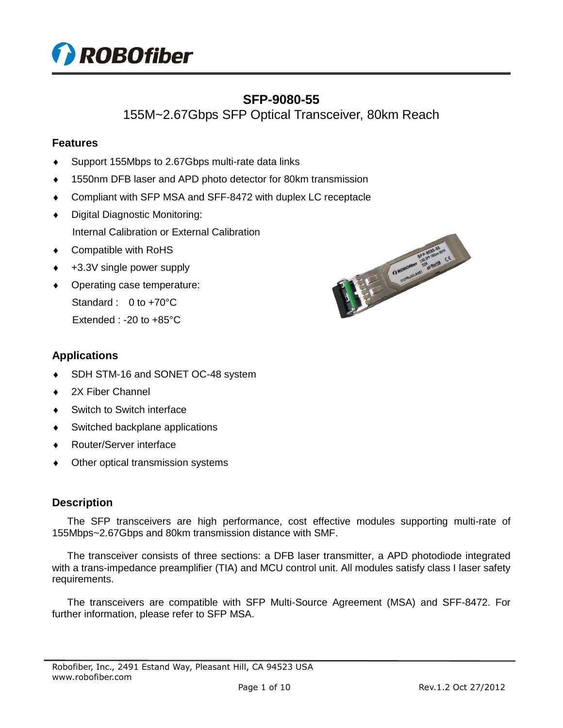

# **SFP-9080-55**

155M~2.67Gbps SFP Optical Transceiver, 80km Reach

### **Features**

- Support 155Mbps to 2.67Gbps multi-rate data links
- ◆ 1550nm DFB laser and APD photo detector for 80km transmission
- Compliant with SFP MSA and SFF-8472 with duplex LC receptacle
- Digital Diagnostic Monitoring: Internal Calibration or External Calibration
- Compatible with RoHS
- $+3.3V$  single power supply
- Operating case temperature:

Standard : 0 to +70°C

Extended : -20 to +85°C



- ◆ SDH STM-16 and SONET OC-48 system
- ◆ 2X Fiber Channel
- ◆ Switch to Switch interface
- Switched backplane applications
- ◆ Router/Server interface
- Other optical transmission systems

### **Description**

The SFP transceivers are high performance, cost effective modules supporting multi-rate of 155Mbps~2.67Gbps and 80km transmission distance with SMF.

The transceiver consists of three sections: a DFB laser transmitter, a APD photodiode integrated with a trans-impedance preamplifier (TIA) and MCU control unit. All modules satisfy class I laser safety requirements.

The transceivers are compatible with SFP Multi-Source Agreement (MSA) and SFF-8472. For further information, please refer to SFP MSA.

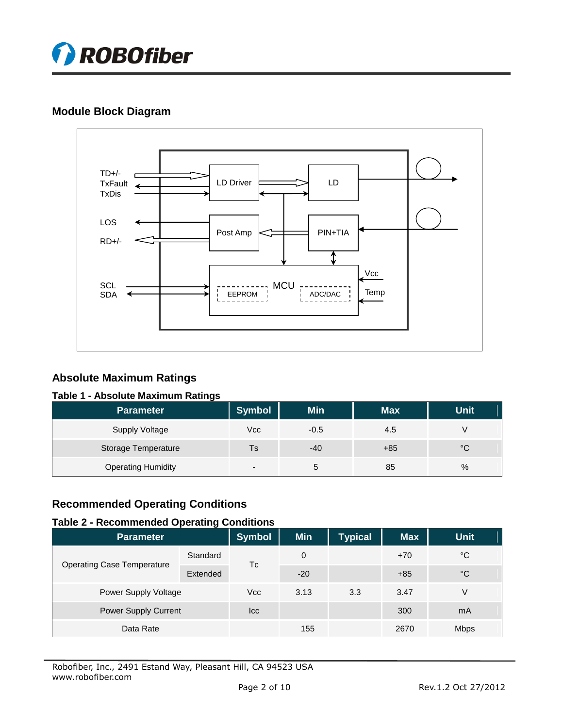

# **Module Block Diagram**



# **Absolute Maximum Ratings**

#### **Table 1 - Absolute Maximum Ratings**

| <b>Parameter</b>          | <b>Symbol</b>            | <b>Min</b>   | <b>Max</b> | <b>Unit</b> |
|---------------------------|--------------------------|--------------|------------|-------------|
| Supply Voltage            | Vcc                      | $-0.5$       | 4.5        |             |
| Storage Temperature       | Ts                       | $-40$        | $+85$      | $^{\circ}C$ |
| <b>Operating Humidity</b> | $\overline{\phantom{0}}$ | $\mathbf{5}$ | 85         | %           |

# **Recommended Operating Conditions**

## **Table 2 - Recommended Operating Conditions**

| <b>Parameter</b>                  |          | Symbol     | <b>Min</b>   | <b>Typical</b> | <b>Max</b> | <b>Unit</b> |
|-----------------------------------|----------|------------|--------------|----------------|------------|-------------|
|                                   | Standard | Tc         | $\mathbf{0}$ |                | $+70$      | $^{\circ}C$ |
| <b>Operating Case Temperature</b> | Extended |            | $-20$        |                | $+85$      | $^{\circ}C$ |
| Power Supply Voltage              |          | <b>Vcc</b> | 3.13         | 3.3            | 3.47       | V           |
| Power Supply Current              |          | Icc        |              |                | 300        | mA          |
| Data Rate                         |          |            | 155          |                | 2670       | <b>Mbps</b> |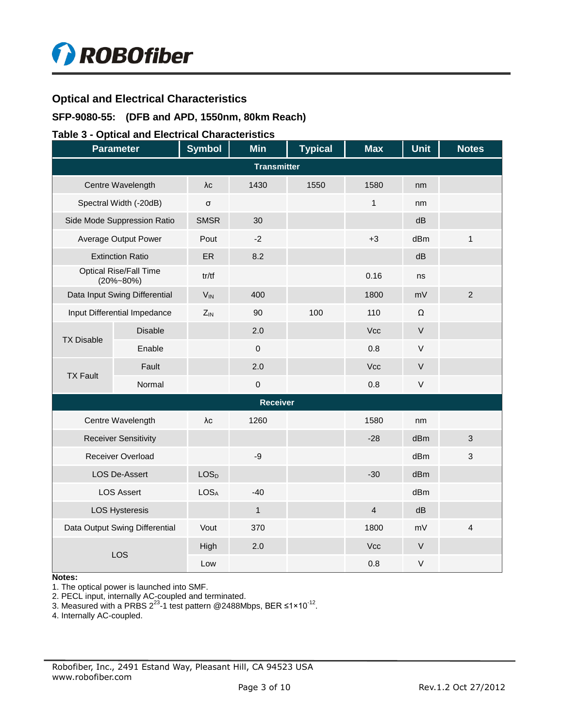# **Optical and Electrical Characteristics**

## **SFP-9080-55: (DFB and APD, 1550nm, 80km Reach)**

#### **Table 3 - Optical and Electrical Characteristics**

|                       | <br><b>Parameter</b>                             | <b>Symbol</b>    | <b>Min</b>   | <b>Typical</b> | <b>Max</b>     | Unit       | <b>Notes</b>   |
|-----------------------|--------------------------------------------------|------------------|--------------|----------------|----------------|------------|----------------|
|                       | <b>Transmitter</b>                               |                  |              |                |                |            |                |
|                       | Centre Wavelength                                | $\lambda c$      | 1430         | 1550           | 1580           | nm         |                |
|                       | Spectral Width (-20dB)                           | σ                |              |                | $\mathbf{1}$   | nm         |                |
|                       | Side Mode Suppression Ratio                      | <b>SMSR</b>      | 30           |                |                | dB         |                |
|                       | <b>Average Output Power</b>                      | Pout             | $-2$         |                | $+3$           | dBm        | $\mathbf{1}$   |
|                       | <b>Extinction Ratio</b>                          | ER               | 8.2          |                |                | ${\sf dB}$ |                |
|                       | <b>Optical Rise/Fall Time</b><br>$(20\% - 80\%)$ | tr/tf            |              |                | 0.16           | ns         |                |
|                       | Data Input Swing Differential                    | $V_{IN}$         | 400          |                | 1800           | mV         | $\overline{2}$ |
|                       | Input Differential Impedance                     | $Z_{IN}$         | 90           | 100            | 110            | Ω          |                |
|                       | <b>Disable</b>                                   |                  | 2.0          |                | Vcc            | $\vee$     |                |
| <b>TX Disable</b>     | Enable                                           |                  | $\mathbf 0$  |                | 0.8            | $\vee$     |                |
| <b>TX Fault</b>       | Fault                                            |                  | 2.0          |                | Vcc            | $\vee$     |                |
|                       | Normal                                           |                  | $\mathsf 0$  |                | 0.8            | $\vee$     |                |
| <b>Receiver</b>       |                                                  |                  |              |                |                |            |                |
|                       | Centre Wavelength                                | $\lambda c$      | 1260         |                | 1580           | nm         |                |
|                       | <b>Receiver Sensitivity</b>                      |                  |              |                | $-28$          | dBm        | 3              |
|                       | Receiver Overload                                |                  | -9           |                |                | dBm        | $\mathbf{3}$   |
| <b>LOS De-Assert</b>  |                                                  | LOS <sub>D</sub> |              |                | $-30$          | dBm        |                |
| <b>LOS Assert</b>     |                                                  | LOS <sub>A</sub> | $-40$        |                |                | dBm        |                |
| <b>LOS Hysteresis</b> |                                                  |                  | $\mathbf{1}$ |                | $\overline{4}$ | dB         |                |
|                       | Data Output Swing Differential                   | Vout             | 370          |                | 1800           | mV         | $\overline{4}$ |
|                       |                                                  | High             | 2.0          |                | Vcc            | $\vee$     |                |
| LOS                   |                                                  | Low              |              |                | 0.8            | $\sf V$    |                |

#### **Notes:**

1. The optical power is launched into SMF.

2. PECL input, internally AC-coupled and terminated.

3. Measured with a PRBS 2<sup>23</sup>-1 test pattern @2488Mbps, BER ≤1×10<sup>-12</sup>.

4. Internally AC-coupled.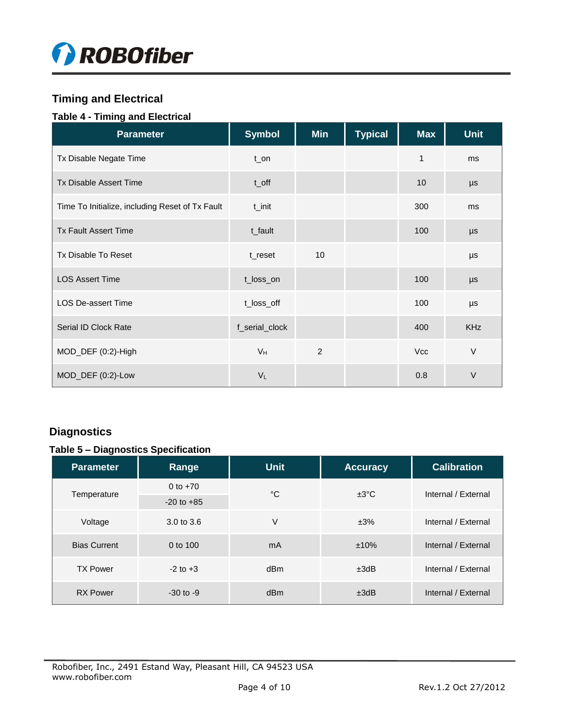

# **Timing and Electrical**

## **Table 4 - Timing and Electrical**

| <b>Parameter</b>                                | <b>Symbol</b>       | <b>Min</b>     | <b>Typical</b> | <b>Max</b>   | <b>Unit</b> |
|-------------------------------------------------|---------------------|----------------|----------------|--------------|-------------|
| Tx Disable Negate Time                          | t_on                |                |                | $\mathbf{1}$ | ms          |
| Tx Disable Assert Time                          | $t$ <sub>O</sub> ff |                |                | 10           | $\mu s$     |
| Time To Initialize, including Reset of Tx Fault | t_init              |                |                | 300          | ms          |
| <b>Tx Fault Assert Time</b>                     | t_fault             |                |                | 100          | $\mu s$     |
| Tx Disable To Reset                             | t_reset             | 10             |                |              | μs          |
| <b>LOS Assert Time</b>                          | t_loss_on           |                |                | 100          | $\mu s$     |
| LOS De-assert Time                              | t_loss_off          |                |                | 100          | μs          |
| Serial ID Clock Rate                            | f_serial_clock      |                |                | 400          | <b>KHz</b>  |
| MOD_DEF (0:2)-High                              | $V_H$               | $\overline{2}$ |                | Vcc          | $\vee$      |
| MOD_DEF (0:2)-Low                               | $V_L$               |                |                | 0.8          | $\vee$      |

# **Diagnostics**

### **Table 5 – Diagnostics Specification**

| <b>Parameter</b>    | Range          | <b>Unit</b>     | <b>Accuracy</b> | <b>Calibration</b>  |
|---------------------|----------------|-----------------|-----------------|---------------------|
| Temperature         | 0 to $+70$     | °C              | ±3°C            | Internal / External |
|                     | $-20$ to $+85$ |                 |                 |                     |
| Voltage             | 3.0 to $3.6$   | V               | ±3%             | Internal / External |
| <b>Bias Current</b> | 0 to 100       | mA              | ±10%            | Internal / External |
| <b>TX Power</b>     | $-2$ to $+3$   | d <sub>Bm</sub> | ±3dB            | Internal / External |
| <b>RX</b> Power     | $-30$ to $-9$  | dBm             | ±3dB            | Internal / External |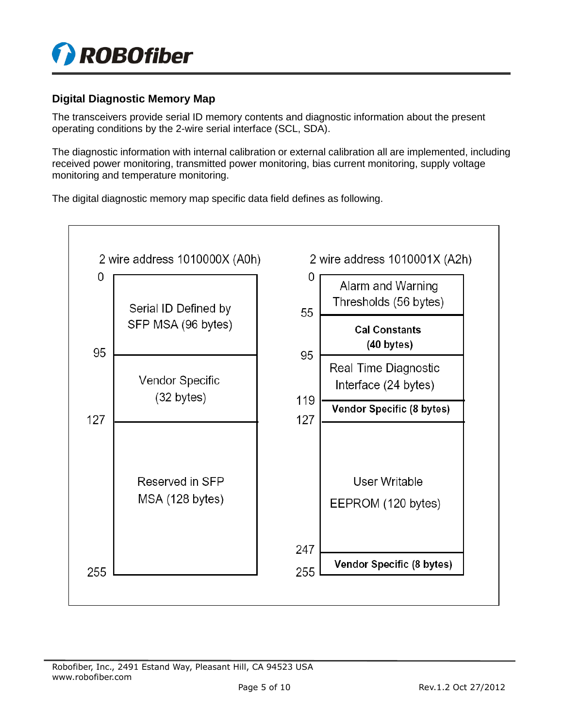

## **Digital Diagnostic Memory Map**

The transceivers provide serial ID memory contents and diagnostic information about the present operating conditions by the 2-wire serial interface (SCL, SDA).

The diagnostic information with internal calibration or external calibration all are implemented, including received power monitoring, transmitted power monitoring, bias current monitoring, supply voltage monitoring and temperature monitoring.

The digital diagnostic memory map specific data field defines as following.

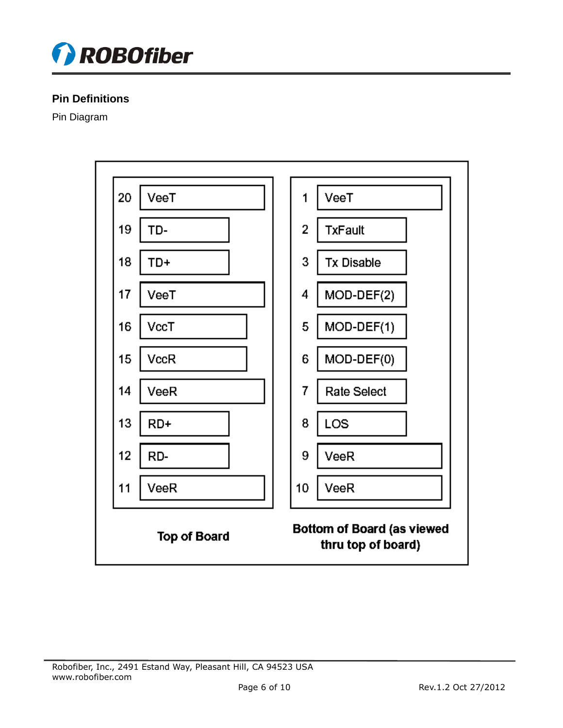

# **Pin Definitions**

Pin Diagram

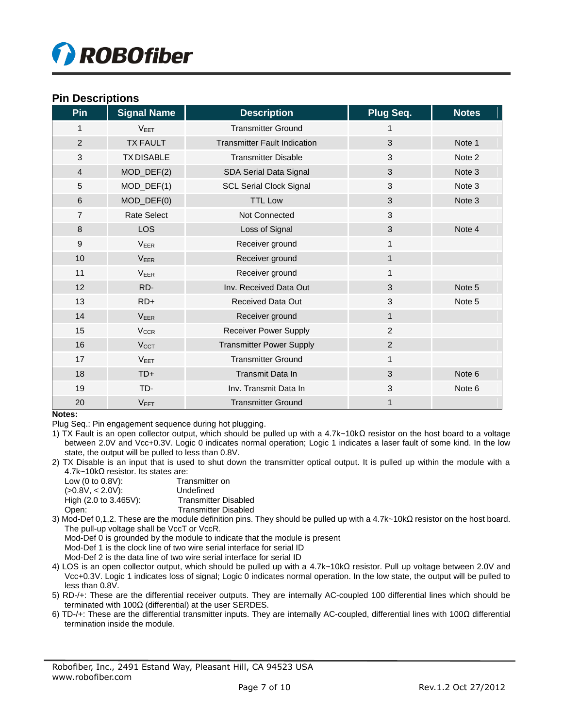

### **Pin Descriptions**

| <b>Pin</b>              | <b>Signal Name</b>     | <b>Description</b>                  | Plug Seq.      | <b>Notes</b> |
|-------------------------|------------------------|-------------------------------------|----------------|--------------|
| 1                       | V <sub>EET</sub>       | <b>Transmitter Ground</b>           |                |              |
| $\overline{2}$          | <b>TX FAULT</b>        | <b>Transmitter Fault Indication</b> | $\overline{3}$ | Note 1       |
| 3                       | <b>TX DISABLE</b>      | <b>Transmitter Disable</b>          | 3              | Note 2       |
| $\overline{\mathbf{4}}$ | MOD_DEF(2)             | SDA Serial Data Signal              | 3              | Note 3       |
| 5                       | MOD_DEF(1)             | <b>SCL Serial Clock Signal</b>      | $\mathfrak{B}$ | Note 3       |
| 6                       | MOD_DEF(0)             | <b>TTL Low</b>                      | $\mathbf{3}$   | Note 3       |
| $\overline{7}$          | <b>Rate Select</b>     | <b>Not Connected</b>                | $\mathfrak{B}$ |              |
| 8                       | <b>LOS</b>             | Loss of Signal                      | $\mathfrak{B}$ | Note 4       |
| 9                       | <b>VEER</b>            | Receiver ground                     | $\mathbf{1}$   |              |
| 10                      | V <sub>EER</sub>       | Receiver ground                     | $\mathbf{1}$   |              |
| 11                      | VEER                   | Receiver ground                     | $\mathbf{1}$   |              |
| 12                      | RD-                    | Inv. Received Data Out              | 3              | Note 5       |
| 13                      | $RD+$                  | <b>Received Data Out</b>            | $\mathbf{3}$   | Note 5       |
| 14                      | <b>VEER</b>            | Receiver ground                     | $\mathbf{1}$   |              |
| 15                      | <b>V<sub>CCR</sub></b> | <b>Receiver Power Supply</b>        | $\overline{c}$ |              |
| 16                      | V <sub>CCT</sub>       | <b>Transmitter Power Supply</b>     | $\overline{2}$ |              |
| 17                      | V <sub>EET</sub>       | <b>Transmitter Ground</b>           | $\mathbf{1}$   |              |
| 18                      | $TD+$                  | Transmit Data In                    | 3              | Note 6       |
| 19                      | TD-                    | Inv. Transmit Data In               | $\mathfrak{B}$ | Note 6       |
| 20                      | V <sub>EET</sub>       | <b>Transmitter Ground</b>           | 1              |              |

#### **Notes:**

Plug Seq.: Pin engagement sequence during hot plugging.

1) TX Fault is an open collector output, which should be pulled up with a 4.7k~10kΩ resistor on the host board to a voltage between 2.0V and Vcc+0.3V. Logic 0 indicates normal operation; Logic 1 indicates a laser fault of some kind. In the low state, the output will be pulled to less than 0.8V.

2) TX Disable is an input that is used to shut down the transmitter optical output. It is pulled up within the module with a 4.7k~10kΩ resistor. Its states are:

| Low $(0 \text{ to } 0.8 \text{V})$ : | Transmitter on              |
|--------------------------------------|-----------------------------|
| $(>0.8V, < 2.0V)$ :                  | Undefined                   |
| High (2.0 to 3.465V):                | <b>Transmitter Disabled</b> |
| Open:                                | <b>Transmitter Disabled</b> |

3) Mod-Def 0,1,2. These are the module definition pins. They should be pulled up with a 4.7k~10kΩ resistor on the host board. The pull-up voltage shall be VccT or VccR.

Mod-Def 0 is grounded by the module to indicate that the module is present

Mod-Def 1 is the clock line of two wire serial interface for serial ID

Mod-Def 2 is the data line of two wire serial interface for serial ID

- 4) LOS is an open collector output, which should be pulled up with a 4.7k~10kΩ resistor. Pull up voltage between 2.0V and Vcc+0.3V. Logic 1 indicates loss of signal; Logic 0 indicates normal operation. In the low state, the output will be pulled to less than 0.8V.
- 5) RD-/+: These are the differential receiver outputs. They are internally AC-coupled 100 differential lines which should be terminated with 100Ω (differential) at the user SERDES.
- 6) TD-/+: These are the differential transmitter inputs. They are internally AC-coupled, differential lines with 100Ω differential termination inside the module.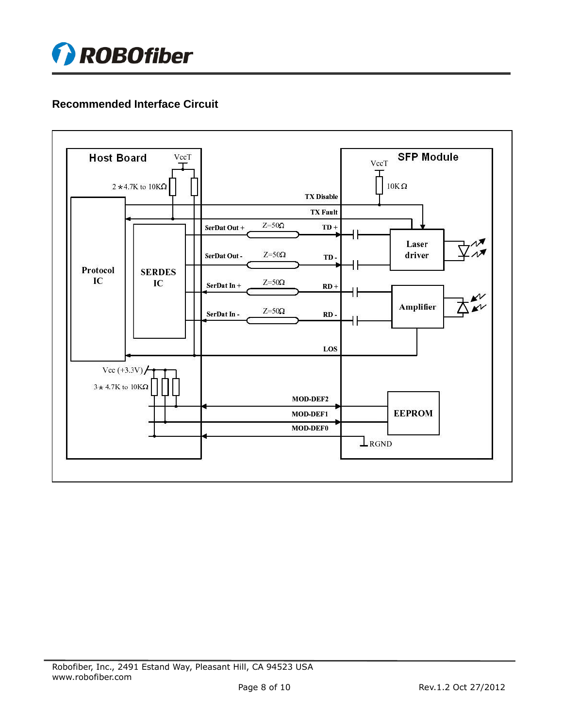

# **Recommended Interface Circuit**

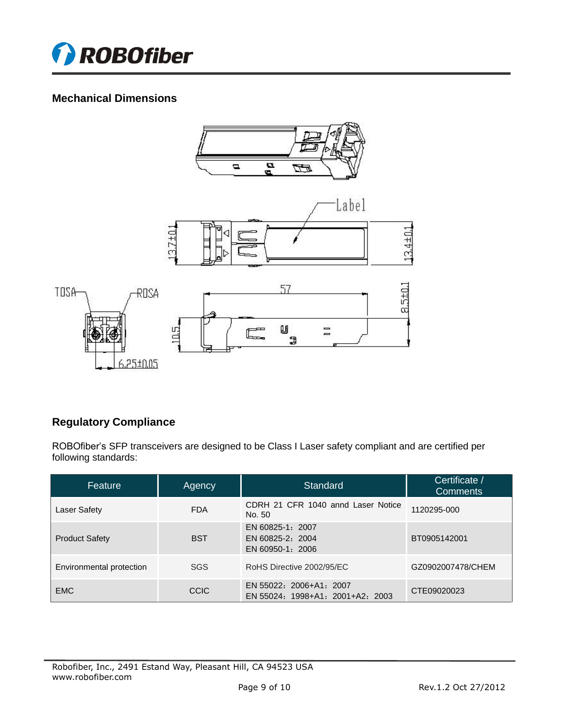

# **Mechanical Dimensions**







# **Regulatory Compliance**

ROBOfiber's SFP transceivers are designed to be Class I Laser safety compliant and are certified per following standards:

| Feature                  | Agency      | Standard                                                    | Certificate /<br><b>Comments</b> |
|--------------------------|-------------|-------------------------------------------------------------|----------------------------------|
| Laser Safety             | <b>FDA</b>  | CDRH 21 CFR 1040 annd Laser Notice<br>No. 50                | 1120295-000                      |
| <b>Product Safety</b>    | <b>BST</b>  | EN 60825-1: 2007<br>EN 60825-2: 2004<br>EN 60950-1: 2006    | BT0905142001                     |
| Environmental protection | <b>SGS</b>  | RoHS Directive 2002/95/EC                                   | GZ0902007478/CHEM                |
| <b>EMC</b>               | <b>CCIC</b> | EN 55022: 2006+A1: 2007<br>EN 55024: 1998+A1: 2001+A2: 2003 | CTE09020023                      |